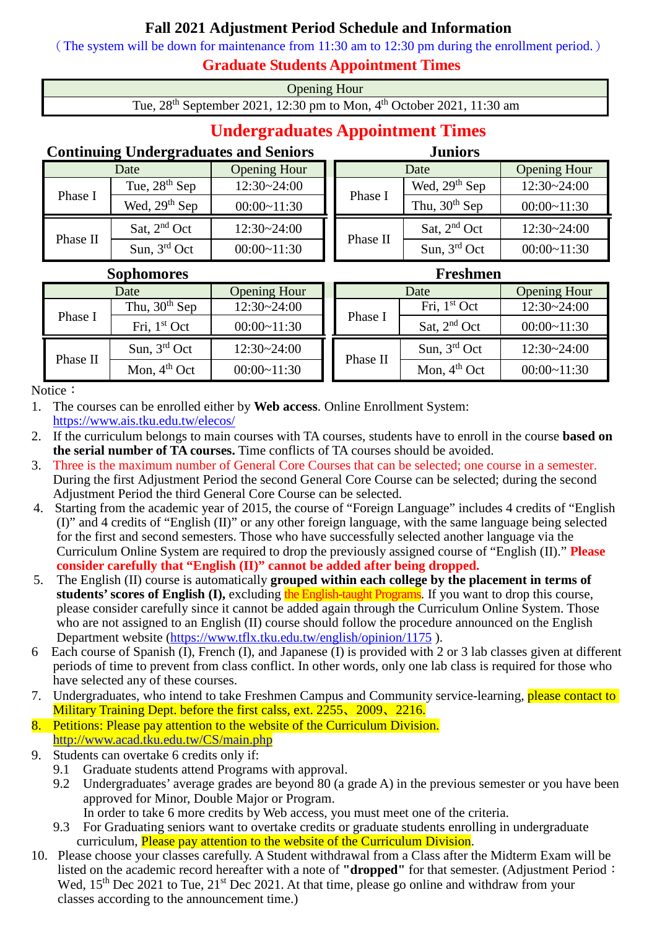## **Fall 2021 Adjustment Period Schedule and Information**

(The system will be down for maintenance from 11:30 am to 12:30 pm during the enrollment period.)

## **Graduate Students Appointment Times**

Opening Hour

Tue, 28<sup>th</sup> September 2021, 12:30 pm to Mon, 4<sup>th</sup> October 2021, 11:30 am

## **Undergraduates Appointment Times**

## **Continuing Undergraduates and Seniors Juniors**

|  |          | Date            | <b>Opening Hour</b> |  | Date           |                 | <b>Opening Hour</b> |  |
|--|----------|-----------------|---------------------|--|----------------|-----------------|---------------------|--|
|  | Phase I  | Tue, $28th$ Sep | $12:30 - 24:00$     |  | Phase I        | Wed, $29th$ Sep | $12:30 - 24:00$     |  |
|  |          | Wed, $29th$ Sep | 00:00~11:30         |  |                | Thu, $30th$ Sep | $00:00-11:30$       |  |
|  | Phase II | Sat, $2nd$ Oct  | $12:30 - 24:00$     |  | Sat, $2nd$ Oct | $12:30 - 24:00$ |                     |  |
|  |          | Sun, $3rd$ Oct  | $00:00-11:30$       |  | Phase II       | Sun, $3rd$ Oct  | $00:00-11:30$       |  |

|          | <b>Sophomores</b> |                     |  | <b>Freshmen</b> |                |                     |  |
|----------|-------------------|---------------------|--|-----------------|----------------|---------------------|--|
|          | Date              | <b>Opening Hour</b> |  |                 | Date           | <b>Opening Hour</b> |  |
|          | Thu, $30th$ Sep   | $12:30 - 24:00$     |  | Phase I         | Fri, $1st$ Oct | $12:30 - 24:00$     |  |
| Phase I  | Fri, $1st Oct$    | $00:00-11:30$       |  |                 | Sat, $2nd$ Oct | $00:00-11:30$       |  |
|          | Sun, $3rd$ Oct    | $12:30 - 24:00$     |  | Phase II        | Sun, $3rd$ Oct | $12:30 - 24:00$     |  |
| Phase II | Mon, $4th$ Oct    | $00:00-11:30$       |  |                 | Mon, $4th$ Oct | $00:00-11:30$       |  |

Notice:

1. The courses can be enrolled either by **Web access**. Online Enrollment System: <https://www.ais.tku.edu.tw/elecos/>

- 2. If the curriculum belongs to main courses with TA courses, students have to enroll in the course **based on the serial number of TA courses.** Time conflicts of TA courses should be avoided.
- 3. Three is the maximum number of General Core Courses that can be selected; one course in a semester. During the first Adjustment Period the second General Core Course can be selected; during the second Adjustment Period the third General Core Course can be selected.
- 4. Starting from the academic year of 2015, the course of "Foreign Language" includes 4 credits of "English (I)" and 4 credits of "English (II)" or any other foreign language, with the same language being selected for the first and second semesters. Those who have successfully selected another language via the Curriculum Online System are required to drop the previously assigned course of "English (II)." **Please consider carefully that "English (II)" cannot be added after being dropped.**
- 5. The English (II) course is automatically **grouped within each college by the placement in terms of students' scores of English (I),** excluding the English-taught Programs. If you want to drop this course, please consider carefully since it cannot be added again through the Curriculum Online System. Those who are not assigned to an English (II) course should follow the procedure announced on the English Department website [\(https://www.tflx.tku.edu.tw/english/opinion/1175](https://www.tflx.tku.edu.tw/english/opinion/1175) ).
- 6 Each course of Spanish (I), French (I), and Japanese (I) is provided with 2 or 3 lab classes given at different periods of time to prevent from class conflict. In other words, only one lab class is required for those who have selected any of these courses.
- 7. Undergraduates, who intend to take Freshmen Campus and Community service-learning, please contact to Military Training Dept. before the first calss, ext. 2255, 2009, 2216.
- 8. Petitions: Please pay attention to the website of the Curriculum Division. <http://www.acad.tku.edu.tw/CS/main.php>
- 9. Students can overtake 6 credits only if:
	- 9.1 Graduate students attend Programs with approval.
	- 9.2 Undergraduates' average grades are beyond 80 (a grade A) in the previous semester or you have been approved for Minor, Double Major or Program.
		- In order to take 6 more credits by Web access, you must meet one of the criteria.
	- 9.3 For Graduating seniors want to overtake credits or graduate students enrolling in undergraduate curriculum. Please pay attention to the website of the Curriculum Division.
- 10. Please choose your classes carefully. A Student withdrawal from a Class after the Midterm Exam will be listed on the academic record hereafter with a note of **"dropped"** for that semester. (Adjustment Period: Wed, 15<sup>th</sup> Dec 2021 to Tue, 21<sup>st</sup> Dec 2021. At that time, please go online and withdraw from your classes according to the announcement time.)